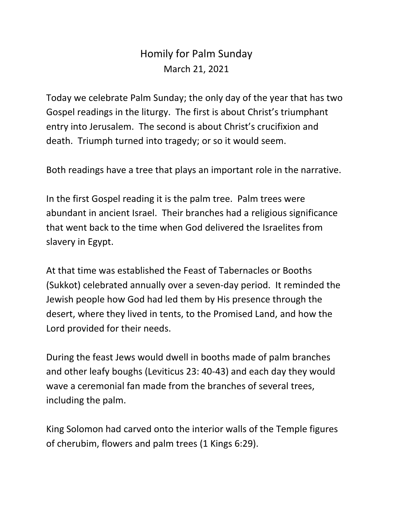## Homily for Palm Sunday March 21, 2021

Today we celebrate Palm Sunday; the only day of the year that has two Gospel readings in the liturgy. The first is about Christ's triumphant entry into Jerusalem. The second is about Christ's crucifixion and death. Triumph turned into tragedy; or so it would seem.

Both readings have a tree that plays an important role in the narrative.

In the first Gospel reading it is the palm tree. Palm trees were abundant in ancient Israel. Their branches had a religious significance that went back to the time when God delivered the Israelites from slavery in Egypt.

At that time was established the Feast of Tabernacles or Booths (Sukkot) celebrated annually over a seven-day period. It reminded the Jewish people how God had led them by His presence through the desert, where they lived in tents, to the Promised Land, and how the Lord provided for their needs.

During the feast Jews would dwell in booths made of palm branches and other leafy boughs (Leviticus 23: 40-43) and each day they would wave a ceremonial fan made from the branches of several trees, including the palm.

King Solomon had carved onto the interior walls of the Temple figures of cherubim, flowers and palm trees (1 Kings 6:29).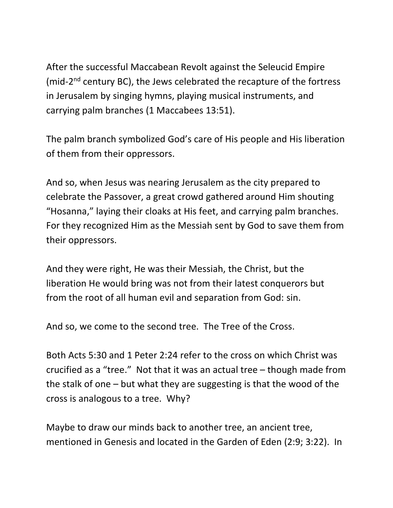After the successful Maccabean Revolt against the Seleucid Empire (mid-2<sup>nd</sup> century BC), the Jews celebrated the recapture of the fortress in Jerusalem by singing hymns, playing musical instruments, and carrying palm branches (1 Maccabees 13:51).

The palm branch symbolized God's care of His people and His liberation of them from their oppressors.

And so, when Jesus was nearing Jerusalem as the city prepared to celebrate the Passover, a great crowd gathered around Him shouting "Hosanna," laying their cloaks at His feet, and carrying palm branches. For they recognized Him as the Messiah sent by God to save them from their oppressors.

And they were right, He was their Messiah, the Christ, but the liberation He would bring was not from their latest conquerors but from the root of all human evil and separation from God: sin.

And so, we come to the second tree. The Tree of the Cross.

Both Acts 5:30 and 1 Peter 2:24 refer to the cross on which Christ was crucified as a "tree." Not that it was an actual tree – though made from the stalk of one – but what they are suggesting is that the wood of the cross is analogous to a tree. Why?

Maybe to draw our minds back to another tree, an ancient tree, mentioned in Genesis and located in the Garden of Eden (2:9; 3:22). In